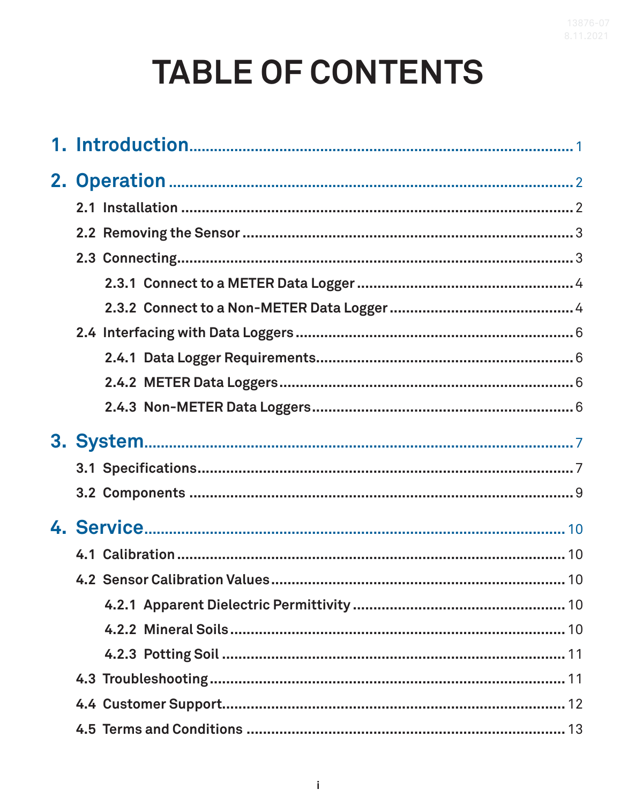# **TABLE OF CONTENTS**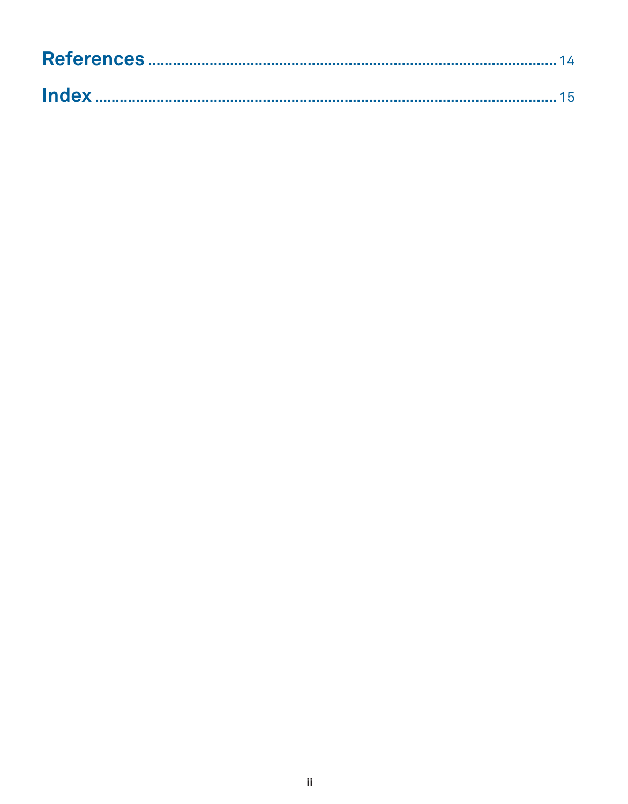| Index |  |
|-------|--|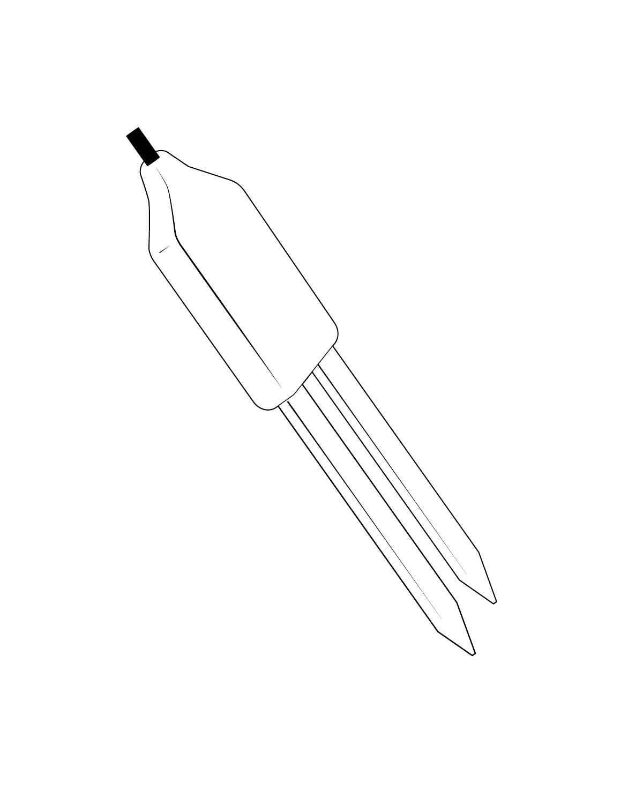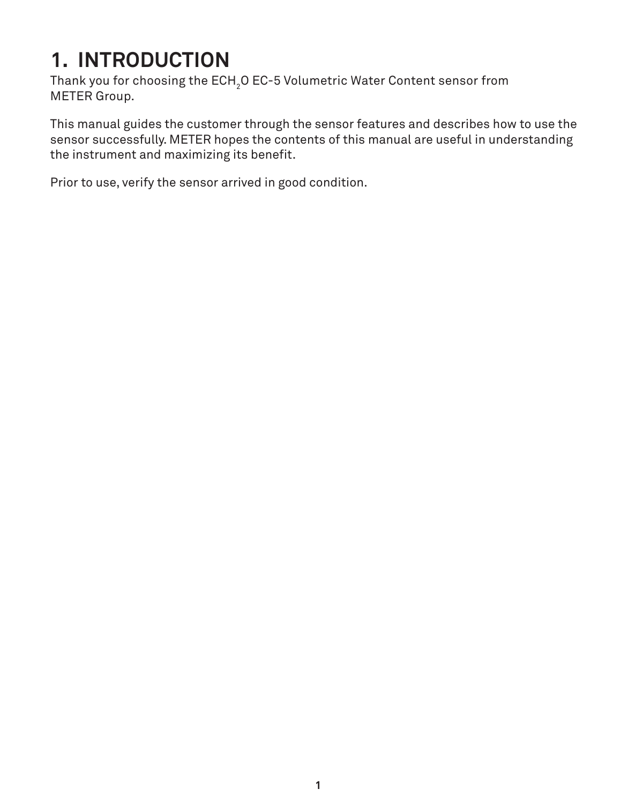# <span id="page-4-0"></span>**1. INTRODUCTION**

Thank you for choosing the ECH<sub>2</sub>O EC-5 Volumetric Water Content sensor from METER Group.

This manual guides the customer through the sensor features and describes how to use the sensor successfully. METER hopes the contents of this manual are useful in understanding the instrument and maximizing its benefit.

Prior to use, verify the sensor arrived in good condition.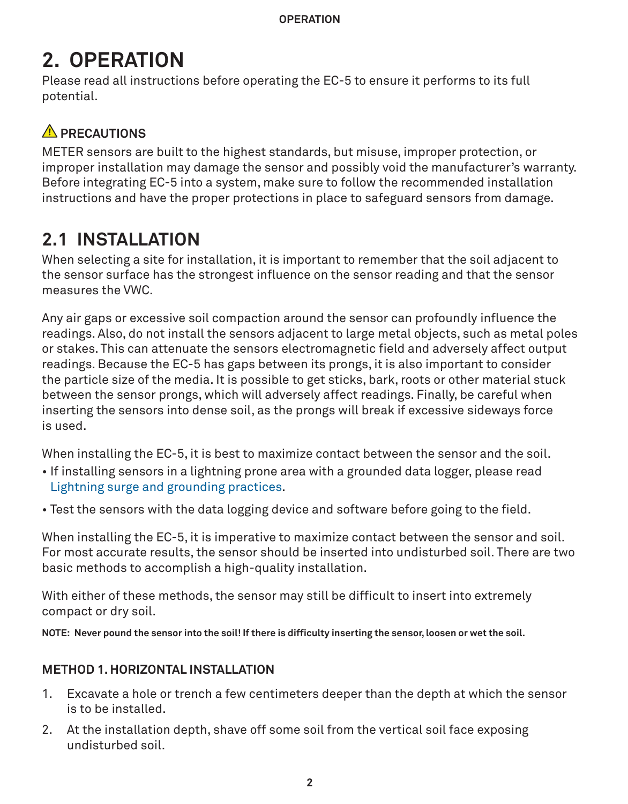# <span id="page-5-0"></span>**2. OPERATION**

Please read all instructions before operating the EC-5 to ensure it performs to its full potential.

# **A** PRECAUTIONS

METER sensors are built to the highest standards, but misuse, improper protection, or improper installation may damage the sensor and possibly void the manufacturer's warranty. Before integrating EC-5 into a system, make sure to follow the recommended installation instructions and have the proper protections in place to safeguard sensors from damage.

# **2.1 INSTALLATION**

When selecting a site for installation, it is important to remember that the soil adjacent to the sensor surface has the strongest influence on the sensor reading and that the sensor measures the VWC.

Any air gaps or excessive soil compaction around the sensor can profoundly influence the readings. Also, do not install the sensors adjacent to large metal objects, such as metal poles or stakes. This can attenuate the sensors electromagnetic field and adversely affect output readings. Because the EC-5 has gaps between its prongs, it is also important to consider the particle size of the media. It is possible to get sticks, bark, roots or other material stuck between the sensor prongs, which will adversely affect readings. Finally, be careful when inserting the sensors into dense soil, as the prongs will break if excessive sideways force is used.

When installing the EC-5, it is best to maximize contact between the sensor and the soil.

- If installing sensors in a lightning prone area with a grounded data logger, please read [Lightning surge and grounding practices](https://www.metergroup.com/lightning-surge-grounding-practices).
- Test the sensors with the data logging device and software before going to the field.

When installing the EC-5, it is imperative to maximize contact between the sensor and soil. For most accurate results, the sensor should be inserted into undisturbed soil. There are two basic methods to accomplish a high-quality installation.

With either of these methods, the sensor may still be difficult to insert into extremely compact or dry soil.

**NOTE: Never pound the sensor into the soil! If there is difficulty inserting the sensor, loosen or wet the soil.**

### **METHOD 1. HORIZONTAL INSTALLATION**

- 1. Excavate a hole or trench a few centimeters deeper than the depth at which the sensor is to be installed.
- 2. At the installation depth, shave off some soil from the vertical soil face exposing undisturbed soil.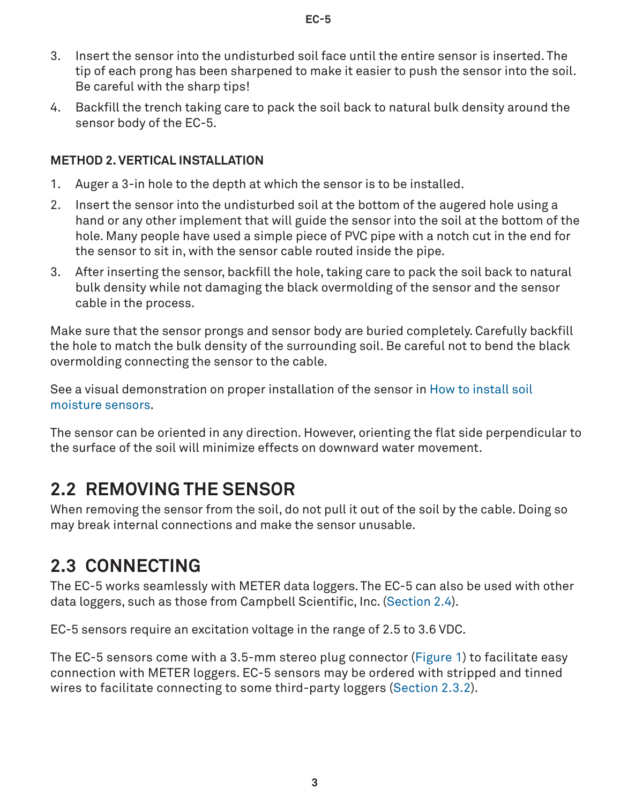- <span id="page-6-0"></span>3. Insert the sensor into the undisturbed soil face until the entire sensor is inserted. The tip of each prong has been sharpened to make it easier to push the sensor into the soil. Be careful with the sharp tips!
- 4. Backfill the trench taking care to pack the soil back to natural bulk density around the sensor body of the EC-5.

#### **METHOD 2. VERTICAL INSTALLATION**

- 1. Auger a 3-in hole to the depth at which the sensor is to be installed.
- 2. Insert the sensor into the undisturbed soil at the bottom of the augered hole using a hand or any other implement that will guide the sensor into the soil at the bottom of the hole. Many people have used a simple piece of PVC pipe with a notch cut in the end for the sensor to sit in, with the sensor cable routed inside the pipe.
- 3. After inserting the sensor, backfill the hole, taking care to pack the soil back to natural bulk density while not damaging the black overmolding of the sensor and the sensor cable in the process.

Make sure that the sensor prongs and sensor body are buried completely. Carefully backfill the hole to match the bulk density of the surrounding soil. Be careful not to bend the black overmolding connecting the sensor to the cable.

See a visual demonstration on proper installation of the sensor in [How to install soil](https://www.metergroup.com/environment/articles/video-install-soil-moisture-sensors/)  [moisture sensors.](https://www.metergroup.com/environment/articles/video-install-soil-moisture-sensors/)

The sensor can be oriented in any direction. However, orienting the flat side perpendicular to the surface of the soil will minimize effects on downward water movement.

# **2.2 REMOVING THE SENSOR**

When removing the sensor from the soil, do not pull it out of the soil by the cable. Doing so may break internal connections and make the sensor unusable.

# **2.3 CONNECTING**

The EC-5 works seamlessly with METER data loggers. The EC-5 can also be used with other data loggers, such as those from Campbell Scientific, Inc. [\(Section 2.4\)](#page-9-1).

EC-5 sensors require an excitation voltage in the range of 2.5 to 3.6 VDC.

The EC-5 sensors come with a 3.5-mm stereo plug connector ([Figure 1](#page-7-1)) to facilitate easy connection with METER loggers. EC-5 sensors may be ordered with stripped and tinned wires to facilitate connecting to some third-party loggers ([Section 2.3.2](#page-7-2)).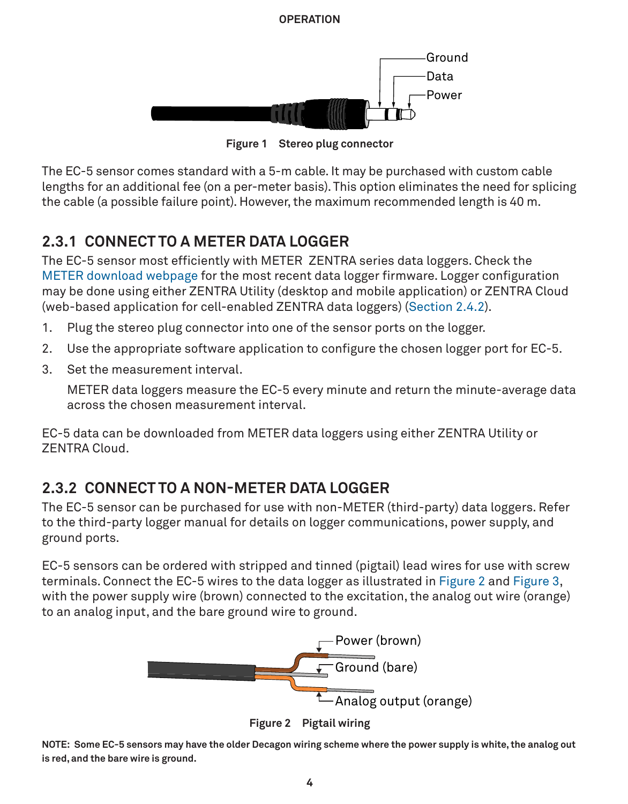<span id="page-7-0"></span>

<span id="page-7-1"></span>**Figure 1 Stereo plug connector**

the cable (a possible failure point). However, the maximum recommended length is 40 m. The EC-5 sensor comes standard with a 5-m cable. It may be purchased with custom cable lengths for an additional fee (on a per-meter basis). This option eliminates the need for splicing

### **2.3.1 CONNECT TO A METER DATA LOGGER**

The EC-5 sensor most efficiently with METER ZENTRA series data loggers. Check the [METER download webpage](https://www.metergroup.com/environment/downloads/) for the most recent data logger firmware. Logger configuration may be done using either ZENTRA Utility (desktop and mobile application) or ZENTRA Cloud (web-based application for cell-enabled ZENTRA data loggers) ([Section 2.4.2](#page-9-2)).

- 1. Plug the stereo plug connector into one of the sensor ports on the logger.
- 2. Use the appropriate software application to configure the chosen logger port for EC-5.
- 3. Set the measurement interval.

METER data loggers measure the EC-5 every minute and return the minute-average data across the chosen measurement interval.

EC-5 data can be downloaded from METER data loggers using either ZENTRA Utility or ZENTRA Cloud.

### <span id="page-7-2"></span>**2.3.2 CONNECT TO A NON-METER DATA LOGGER**

The EC-5 sensor can be purchased for use with non-METER (third-party) data loggers. Refer to the third-party logger manual for details on logger communications, power supply, and ground ports.

EC-5 sensors can be ordered with stripped and tinned (pigtail) lead wires for use with screw terminals. Connect the EC-5 wires to the data logger as illustrated in [Figure 2](#page-7-3) and [Figure 3,](#page-8-0) with the power supply wire (brown) connected to the excitation, the analog out wire (orange) to an analog input, and the bare ground wire to ground.



<span id="page-7-3"></span>**Figure 2 Pigtail wiring**

**NOTE: Some EC-5 sensors may have the older Decagon wiring scheme where the power supply is white, the analog out is red, and the bare wire is ground.**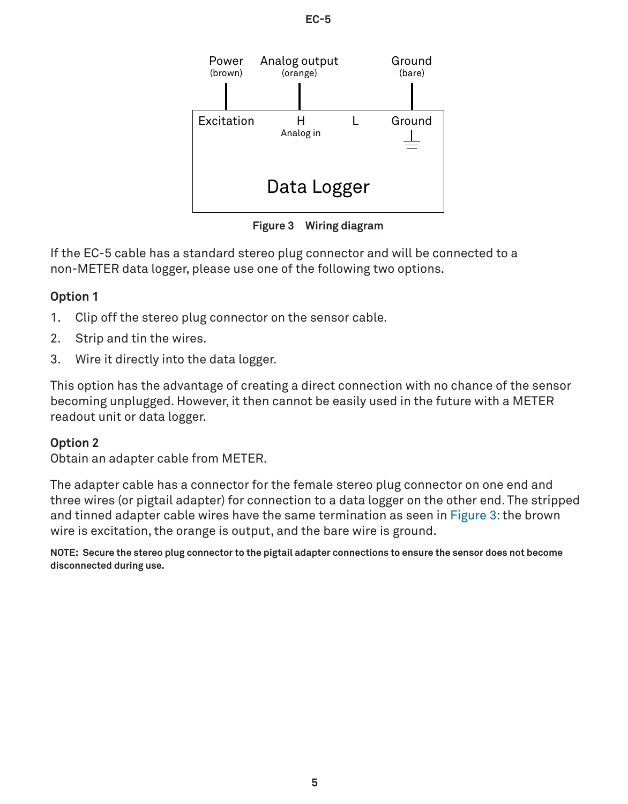<span id="page-8-1"></span>

**EC-5**

<span id="page-8-0"></span>**Figure 3 Wiring diagram**

If the EC-5 cable has a standard stereo plug connector and will be connected to a non-METER data logger, please use one of the following two options.

### **Option 1**

- 1. Clip off the stereo plug connector on the sensor cable.
- 2. Strip and tin the wires.
- 3. Wire it directly into the data logger.

This option has the advantage of creating a direct connection with no chance of the sensor becoming unplugged. However, it then cannot be easily used in the future with a METER readout unit or data logger.

### **Option 2**

Obtain an adapter cable from METER.

The adapter cable has a connector for the female stereo plug connector on one end and three wires (or pigtail adapter) for connection to a data logger on the other end. The stripped and tinned adapter cable wires have the same termination as seen in [Figure 3:](#page-8-0) the brown wire is excitation, the orange is output, and the bare wire is ground.

**NOTE: Secure the stereo plug connector to the pigtail adapter connections to ensure the sensor does not become disconnected during use.**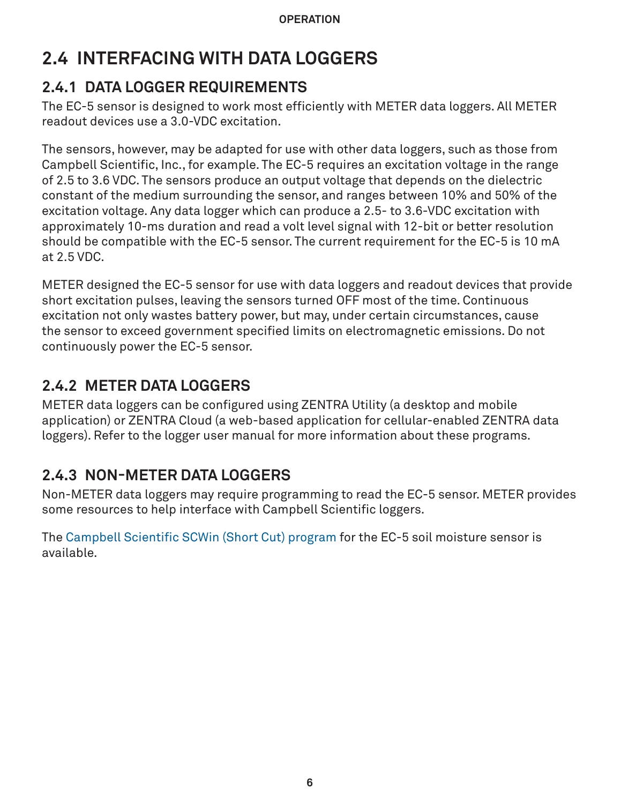# <span id="page-9-1"></span><span id="page-9-0"></span>**2.4 INTERFACING WITH DATA LOGGERS**

### **2.4.1 DATA LOGGER REQUIREMENTS**

The EC-5 sensor is designed to work most efficiently with METER data loggers. All METER readout devices use a 3.0-VDC excitation.

The sensors, however, may be adapted for use with other data loggers, such as those from Campbell Scientific, Inc., for example. The EC-5 requires an excitation voltage in the range of 2.5 to 3.6 VDC. The sensors produce an output voltage that depends on the dielectric constant of the medium surrounding the sensor, and ranges between 10% and 50% of the excitation voltage. Any data logger which can produce a 2.5- to 3.6-VDC excitation with approximately 10-ms duration and read a volt level signal with 12-bit or better resolution should be compatible with the EC-5 sensor. The current requirement for the EC-5 is 10 mA at 2.5 VDC.

METER designed the EC-5 sensor for use with data loggers and readout devices that provide short excitation pulses, leaving the sensors turned OFF most of the time. Continuous excitation not only wastes battery power, but may, under certain circumstances, cause the sensor to exceed government specified limits on electromagnetic emissions. Do not continuously power the EC-5 sensor.

### <span id="page-9-2"></span>**2.4.2 METER DATA LOGGERS**

METER data loggers can be configured using ZENTRA Utility (a desktop and mobile application) or ZENTRA Cloud (a web-based application for cellular-enabled ZENTRA data loggers). Refer to the logger user manual for more information about these programs.

### **2.4.3 NON-METER DATA LOGGERS**

Non-METER data loggers may require programming to read the EC-5 sensor. METER provides some resources to help interface with Campbell Scientific loggers.

The [Campbell Scientific SCWin \(Short Cut\) program](https://www.metergroup.com/environment/articles/using-scwin-short-cut-read-sensors/) for the EC-5 soil moisture sensor is available.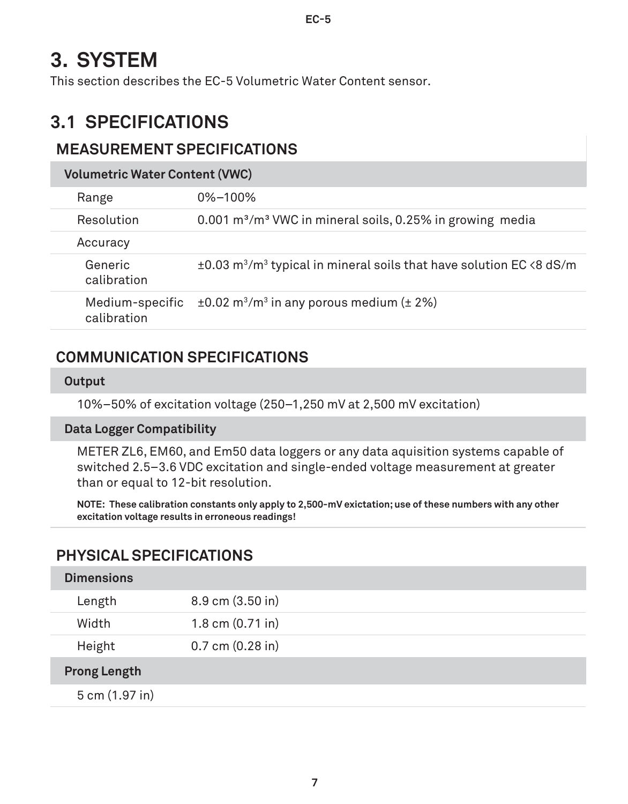# <span id="page-10-0"></span>**3. SYSTEM**

This section describes the EC-5 Volumetric Water Content sensor.

# **3.1 SPECIFICATIONS**

### **MEASUREMENT SPECIFICATIONS**

| <b>Volumetric Water Content (VWC)</b> |                                                                                                  |  |
|---------------------------------------|--------------------------------------------------------------------------------------------------|--|
| Range                                 | $0\% - 100\%$                                                                                    |  |
| Resolution                            | $0.001$ m <sup>3</sup> /m <sup>3</sup> VWC in mineral soils, 0.25% in growing media              |  |
| Accuracy                              |                                                                                                  |  |
| Generic<br>calibration                | $\pm 0.03$ m <sup>3</sup> /m <sup>3</sup> typical in mineral soils that have solution EC <8 dS/m |  |
| Medium-specific<br>calibration        | $\pm 0.02$ m <sup>3</sup> /m <sup>3</sup> in any porous medium ( $\pm 2\%$ )                     |  |

### **COMMUNICATION SPECIFICATIONS**

### **Output**

10%–50% of excitation voltage (250–1,250 mV at 2,500 mV excitation)

#### **Data Logger Compatibility**

METER ZL6, EM60, and Em50 data loggers or any data aquisition systems capable of switched 2.5–3.6 VDC excitation and single-ended voltage measurement at greater than or equal to 12-bit resolution.

**NOTE: These calibration constants only apply to 2,500-mV exictation; use of these numbers with any other excitation voltage results in erroneous readings!**

### **PHYSICAL SPECIFICATIONS**

| <b>Dimensions</b>                |                      |  |
|----------------------------------|----------------------|--|
| Length                           | 8.9 cm (3.50 in)     |  |
| Width                            | $1.8$ cm $(0.71$ in) |  |
| Height                           | $0.7$ cm $(0.28$ in) |  |
| <b>Prong Length</b>              |                      |  |
| $5 \text{ cm} (1.97 \text{ in})$ |                      |  |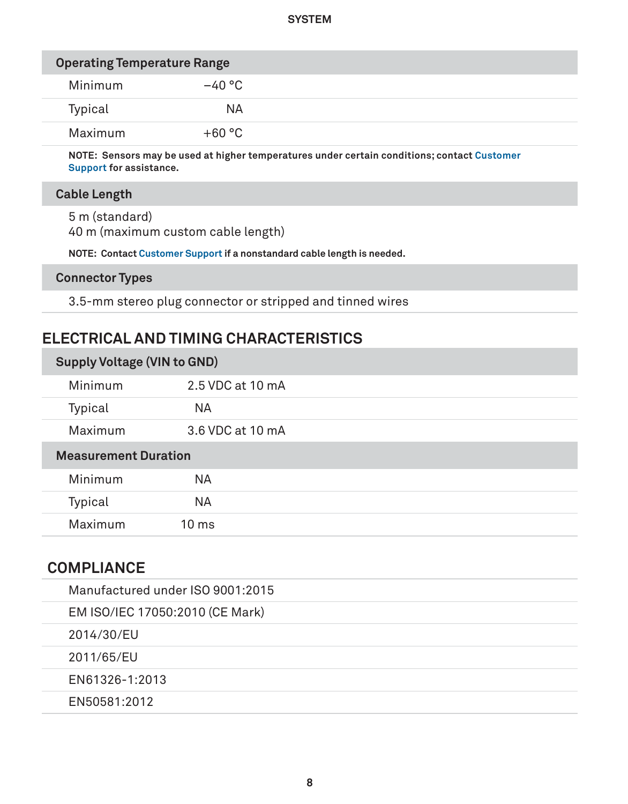#### **System**

<span id="page-11-0"></span>

| <b>Operating Temperature Range</b> |          |  |
|------------------------------------|----------|--|
| Minimum                            | $-40 °C$ |  |
| Typical                            | NА       |  |
| Maximum                            | $+60 °C$ |  |

**NOTE: Sensors may be used at higher temperatures under certain conditions; contact [Customer](#page-15-1)  [Support](#page-15-1) for assistance.**

### **Cable Length**

5 m (standard) 40 m (maximum custom cable length)

**NOTE: Contact [Customer Support](#page-15-1) if a nonstandard cable length is needed.**

### **Connector Types**

3.5-mm stereo plug connector or stripped and tinned wires

### **ELECTRICAL AND TIMING CHARACTERISTICS**

| <b>Supply Voltage (VIN to GND)</b> |                  |  |
|------------------------------------|------------------|--|
| Minimum                            | 2.5 VDC at 10 mA |  |
| Typical                            | NА               |  |
| Maximum                            | 3.6 VDC at 10 mA |  |
| <b>Measurement Duration</b>        |                  |  |
| Minimum                            | NA.              |  |
|                                    |                  |  |
| Typical                            | NА               |  |

### **COMPLIANCE**

| Manufactured under ISO 9001:2015 |
|----------------------------------|
| EM ISO/IEC 17050:2010 (CE Mark)  |
| 2014/30/EU                       |
| 2011/65/EU                       |
| EN61326-1:2013                   |
| EN50581:2012                     |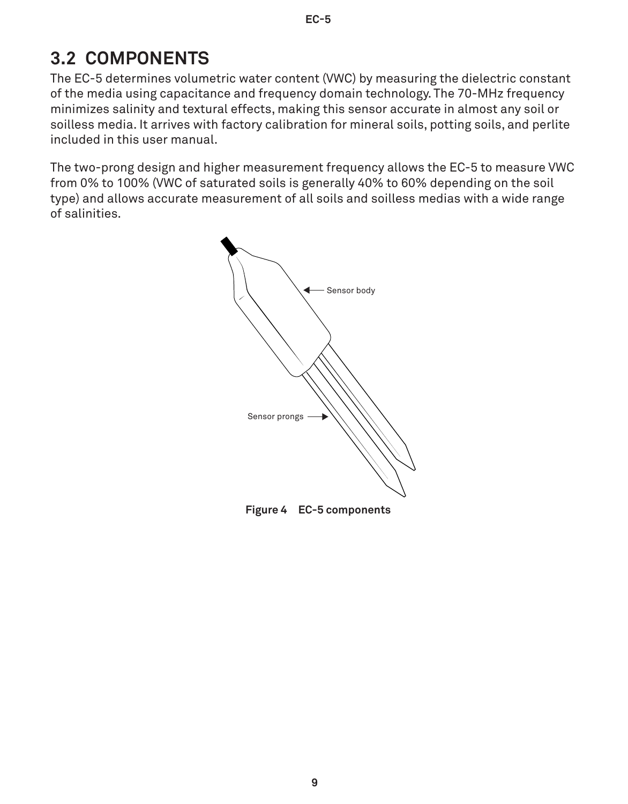# <span id="page-12-0"></span>**3.2 COMPONENTS**

The EC-5 determines volumetric water content (VWC) by measuring the dielectric constant of the media using capacitance and frequency domain technology. The 70-MHz frequency minimizes salinity and textural effects, making this sensor accurate in almost any soil or soilless media. It arrives with factory calibration for mineral soils, potting soils, and perlite included in this user manual.

The two-prong design and higher measurement frequency allows the EC-5 to measure VWC from 0% to 100% (VWC of saturated soils is generally 40% to 60% depending on the soil type) and allows accurate measurement of all soils and soilless medias with a wide range of salinities.



**Figure 4 EC-5 components**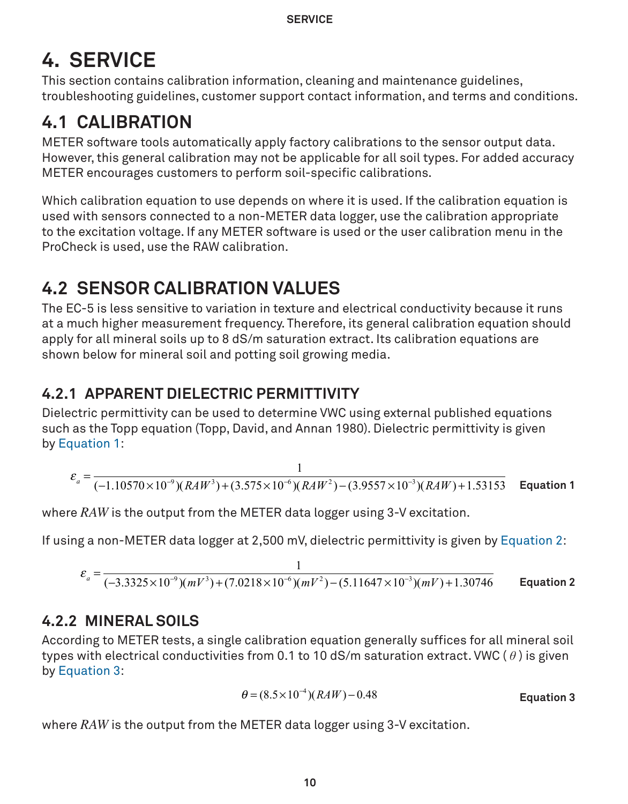# <span id="page-13-0"></span>**4. SERVICE**

This section contains calibration information, cleaning and maintenance guidelines, troubleshooting guidelines, customer support contact information, and terms and conditions.

# <span id="page-13-4"></span>**4.1 CALIBRATION**

METER software tools automatically apply factory calibrations to the sensor output data. However, this general calibration may not be applicable for all soil types. For added accuracy METER encourages customers to perform soil-specific calibrations.

Which calibration equation to use depends on where it is used. If the calibration equation is used with sensors connected to a non-METER data logger, use the calibration appropriate to the excitation voltage. If any METER software is used or the user calibration menu in the ProCheck is used, use the RAW calibration.

# **4.2 SENSOR CALIBRATION VALUES**

The EC-5 is less sensitive to variation in texture and electrical conductivity because it runs at a much higher measurement frequency. Therefore, its general calibration equation should apply for all mineral soils up to 8 dS/m saturation extract. Its calibration equations are shown below for mineral soil and potting soil growing media.

### **4.2.1 APPARENT DIELECTRIC PERMITTIVITY**

Dielectric permittivity can be used to determine VWC using external published equations such as the Topp equation (Topp, David, and Annan 1980). Dielectric permittivity is given by [Equation 1](#page-13-1):

$$
\varepsilon_a = \frac{1}{(-1.10570 \times 10^{-9})(RAW^3) + (3.575 \times 10^{-6})(RAW^2) - (3.9557 \times 10^{-3})(RAW) + 1.53153}
$$
 Equation 1

where *RAW* is the output from the METER data logger using 3-V excitation.

If using a non-METER data logger at 2,500 mV, dielectric permittivity is given by [Equation 2](#page-13-2):

$$
\varepsilon_a = \frac{1}{(-3.3325 \times 10^{-9})(mV^3) + (7.0218 \times 10^{-6})(mV^2) - (5.11647 \times 10^{-3})(mV) + 1.30746}
$$
 Equation 2

### **4.2.2 MINERAL SOILS**

According to METER tests, a single calibration equation generally suffices for all mineral soil types with electrical conductivities from 0.1 to 10 dS/m saturation extract. VWC ( *θ* ) is given by [Equation 3](#page-13-3):

<span id="page-13-3"></span><span id="page-13-2"></span><span id="page-13-1"></span>
$$
\theta = (8.5 \times 10^{-4})(RAW) - 0.48
$$
 Equation 3

where *RAW* is the output from the METER data logger using 3-V excitation.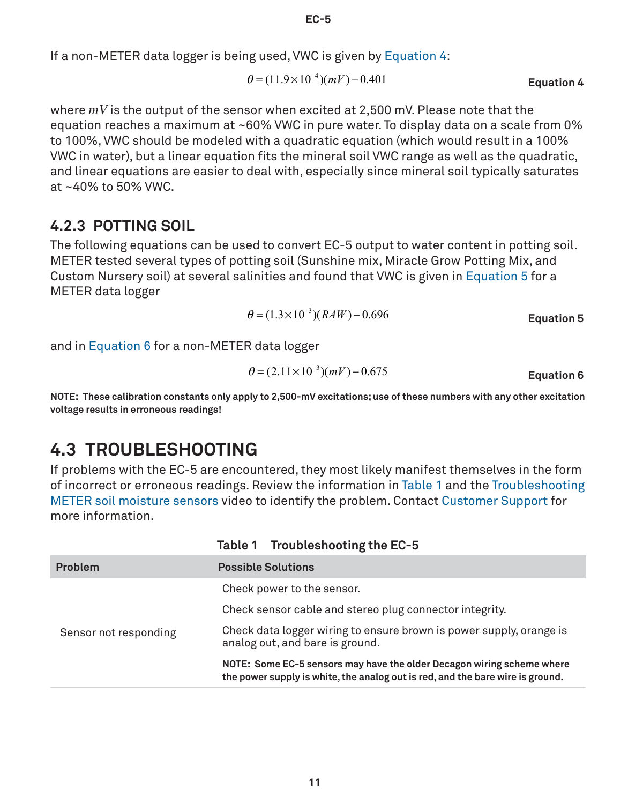<span id="page-14-2"></span><span id="page-14-1"></span>**EC-5**

<span id="page-14-0"></span>If a non-METER data logger is being used, VWC is given by [Equation 4](#page-14-1):

$$
\theta = (11.9 \times 10^{-4})(mV) - 0.401
$$
 **Equation 4**

where *mV* is the output of the sensor when excited at 2,500 mV. Please note that the equation reaches a maximum at ~60% VWC in pure water. To display data on a scale from 0% to 100%, VWC should be modeled with a quadratic equation (which would result in a 100% VWC in water), but a linear equation fits the mineral soil VWC range as well as the quadratic, and linear equations are easier to deal with, especially since mineral soil typically saturates at ~40% to 50% VWC.

### **4.2.3 POTTING SOIL**

The following equations can be used to convert EC-5 output to water content in potting soil. METER tested several types of potting soil (Sunshine mix, Miracle Grow Potting Mix, and Custom Nursery soil) at several salinities and found that VWC is given in [Equation 5](#page-14-2) for a METER data logger

$$
\theta = (1.3 \times 10^{-3})(RAM) - 0.696
$$
 Equation 5

and in [Equation 6](#page-14-3) for a non-METER data logger

<span id="page-14-4"></span><span id="page-14-3"></span>
$$
\theta = (2.11 \times 10^{-3})(mV) - 0.675
$$
 Equation 6

**NOTE: These calibration constants only apply to 2,500-mV excitations; use of these numbers with any other excitation voltage results in erroneous readings!**

### **4.3 TROUBLESHOOTING**

If problems with the EC-5 are encountered, they most likely manifest themselves in the form of incorrect or erroneous readings. Review the information in [Table 1](#page-14-4) and the [Troubleshooting](https://www.metergroup.com/environment/articles/support-video-troubleshooting-meter-soil-sensors/)  [METER soil moisture sensors](https://www.metergroup.com/environment/articles/support-video-troubleshooting-meter-soil-sensors/) video to identify the problem. Contact [Customer Support](#page-15-1) for more information.

|                       | Table 1 Troubleshooting the EC-5                                                                                                                         |
|-----------------------|----------------------------------------------------------------------------------------------------------------------------------------------------------|
| <b>Problem</b>        | <b>Possible Solutions</b>                                                                                                                                |
|                       | Check power to the sensor.                                                                                                                               |
|                       | Check sensor cable and stereo plug connector integrity.                                                                                                  |
| Sensor not responding | Check data logger wiring to ensure brown is power supply, orange is<br>analog out, and bare is ground.                                                   |
|                       | NOTE: Some EC-5 sensors may have the older Decagon wiring scheme where<br>the power supply is white, the analog out is red, and the bare wire is ground. |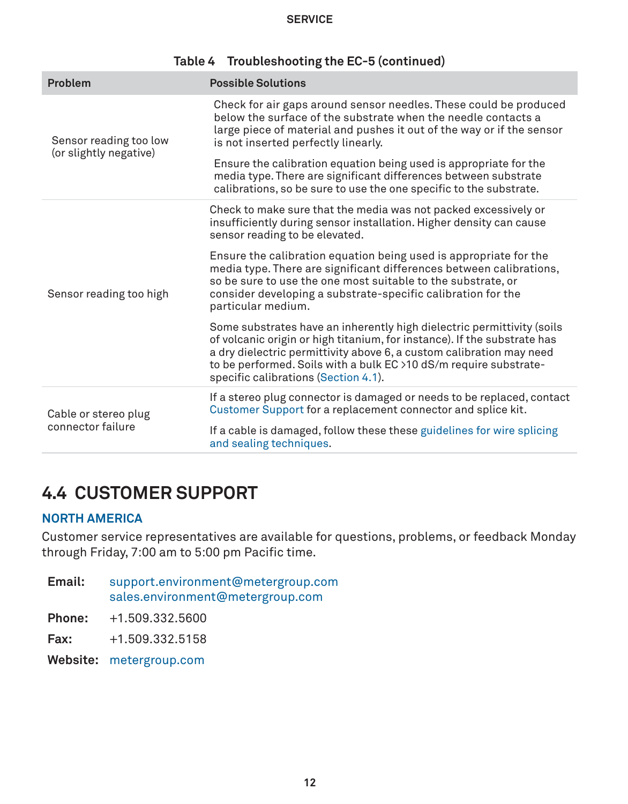#### **Service**

<span id="page-15-0"></span>

| Problem                                          | <b>Possible Solutions</b>                                                                                                                                                                                                                                                                                                               |
|--------------------------------------------------|-----------------------------------------------------------------------------------------------------------------------------------------------------------------------------------------------------------------------------------------------------------------------------------------------------------------------------------------|
| Sensor reading too low<br>(or slightly negative) | Check for air gaps around sensor needles. These could be produced<br>below the surface of the substrate when the needle contacts a<br>large piece of material and pushes it out of the way or if the sensor<br>is not inserted perfectly linearly.                                                                                      |
|                                                  | Ensure the calibration equation being used is appropriate for the<br>media type. There are significant differences between substrate<br>calibrations, so be sure to use the one specific to the substrate.                                                                                                                              |
|                                                  | Check to make sure that the media was not packed excessively or<br>insufficiently during sensor installation. Higher density can cause<br>sensor reading to be elevated.                                                                                                                                                                |
| Sensor reading too high                          | Ensure the calibration equation being used is appropriate for the<br>media type. There are significant differences between calibrations,<br>so be sure to use the one most suitable to the substrate, or<br>consider developing a substrate-specific calibration for the<br>particular medium.                                          |
|                                                  | Some substrates have an inherently high dielectric permittivity (soils<br>of volcanic origin or high titanium, for instance). If the substrate has<br>a dry dielectric permittivity above 6, a custom calibration may need<br>to be performed. Soils with a bulk EC >10 dS/m require substrate-<br>specific calibrations (Section 4.1). |
| Cable or stereo plug                             | If a stereo plug connector is damaged or needs to be replaced, contact<br>Customer Support for a replacement connector and splice kit.                                                                                                                                                                                                  |
| connector failure                                | If a cable is damaged, follow these these guidelines for wire splicing<br>and sealing techniques.                                                                                                                                                                                                                                       |

### **Table 4 Troubleshooting the EC-5 (continued)**

## <span id="page-15-1"></span>**4.4 CUSTOMER SUPPORT**

### **NORTH AMERICA**

Customer service representatives are available for questions, problems, or feedback Monday through Friday, 7:00 am to 5:00 pm Pacific time.

- **Email:** [support.environment@metergroup.com](mailto:support.environment%40metergroup.com?subject=) [sales.environment@metergroup.com](mailto:sales.environment%40metergroup.com?subject=)
- **Phone:** +1.509.332.5600
- **Fax:** +1.509.332.5158
- **Website:** [metergroup.com](https://www.metergroup.com)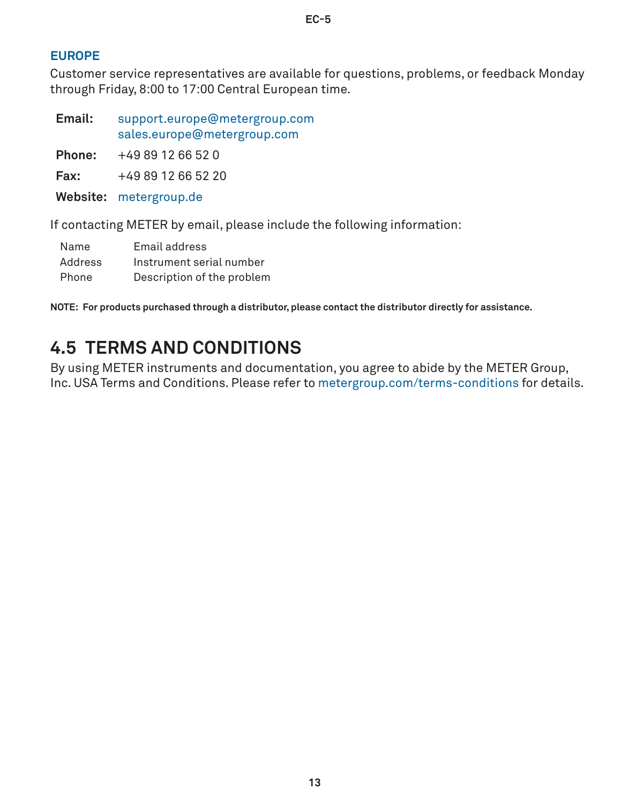### <span id="page-16-0"></span>**EUROPE**

Customer service representatives are available for questions, problems, or feedback Monday through Friday, 8:00 to 17:00 Central European time.

| support.europe@metergroup.com<br>sales.europe@metergroup.com |
|--------------------------------------------------------------|
| +49 89 12 66 52 0                                            |
| $+498912665220$                                              |
|                                                              |

**Website:** [metergroup.d](https://www.metergroup.com/de)e

If contacting METER by email, please include the following information:

| Name    | Email address              |
|---------|----------------------------|
| Address | Instrument serial number   |
| Phone   | Description of the problem |

**NOTE: For products purchased through a distributor, please contact the distributor directly for assistance.**

# **4.5 TERMS AND CONDITIONS**

By using METER instruments and documentation, you agree to abide by the METER Group, Inc. USA Terms and Conditions. Please refer to [metergroup.com/terms-conditions](http://www.metergroup.com/terms-conditions) for details.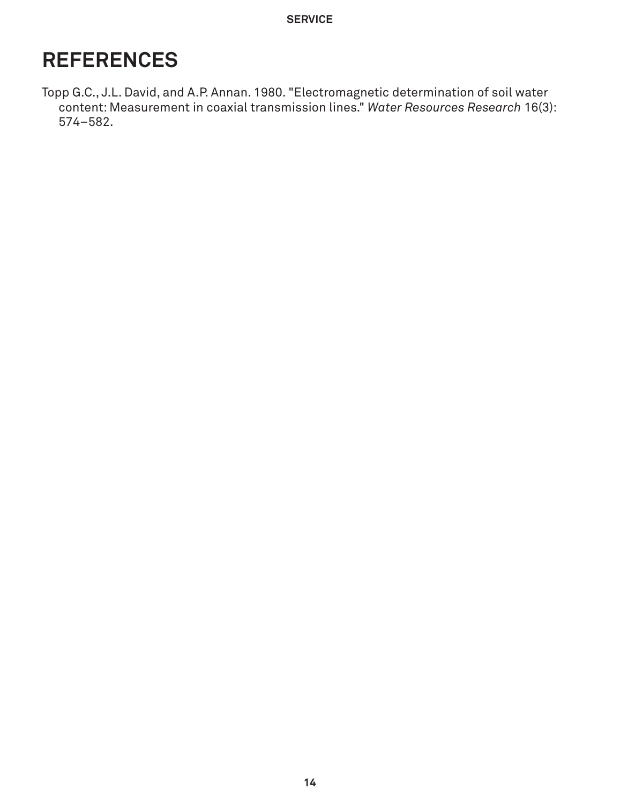# <span id="page-17-0"></span>**REFERENCES**

Topp G.C., J.L. David, and A.P. Annan. 1980. "Electromagnetic determination of soil water content: Measurement in coaxial transmission lines." *Water Resources Research* 16(3): 574–582.